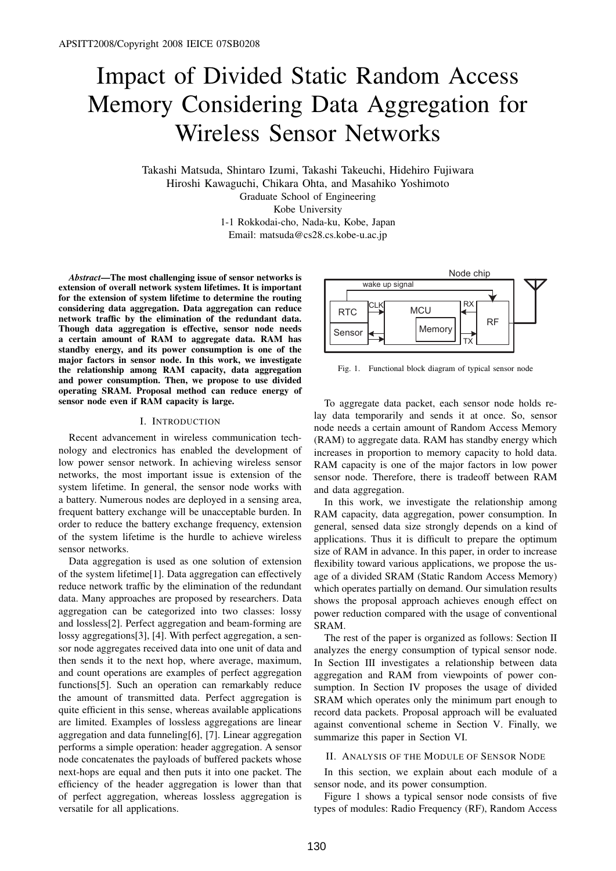# Impact of Divided Static Random Access Memory Considering Data Aggregation for Wireless Sensor Networks

Takashi Matsuda, Shintaro Izumi, Takashi Takeuchi, Hidehiro Fujiwara Hiroshi Kawaguchi, Chikara Ohta, and Masahiko Yoshimoto Graduate School of Engineering Kobe University 1-1 Rokkodai-cho, Nada-ku, Kobe, Japan Email: matsuda@cs28.cs.kobe-u.ac.jp

*Abstract*—The most challenging issue of sensor networks is extension of overall network system lifetimes. It is important for the extension of system lifetime to determine the routing considering data aggregation. Data aggregation can reduce network traffic by the elimination of the redundant data. Though data aggregation is effective, sensor node needs a certain amount of RAM to aggregate data. RAM has standby energy, and its power consumption is one of the major factors in sensor node. In this work, we investigate the relationship among RAM capacity, data aggregation and power consumption. Then, we propose to use divided operating SRAM. Proposal method can reduce energy of sensor node even if RAM capacity is large.

# I. INTRODUCTION

Recent advancement in wireless communication technology and electronics has enabled the development of low power sensor network. In achieving wireless sensor networks, the most important issue is extension of the system lifetime. In general, the sensor node works with a battery. Numerous nodes are deployed in a sensing area, frequent battery exchange will be unacceptable burden. In order to reduce the battery exchange frequency, extension of the system lifetime is the hurdle to achieve wireless sensor networks.

Data aggregation is used as one solution of extension of the system lifetime[1]. Data aggregation can effectively reduce network traffic by the elimination of the redundant data. Many approaches are proposed by researchers. Data aggregation can be categorized into two classes: lossy and lossless[2]. Perfect aggregation and beam-forming are lossy aggregations[3], [4]. With perfect aggregation, a sensor node aggregates received data into one unit of data and then sends it to the next hop, where average, maximum, and count operations are examples of perfect aggregation functions[5]. Such an operation can remarkably reduce the amount of transmitted data. Perfect aggregation is quite efficient in this sense, whereas available applications are limited. Examples of lossless aggregations are linear aggregation and data funneling[6], [7]. Linear aggregation performs a simple operation: header aggregation. A sensor node concatenates the payloads of buffered packets whose next-hops are equal and then puts it into one packet. The efficiency of the header aggregation is lower than that of perfect aggregation, whereas lossless aggregation is versatile for all applications.



Fig. 1. Functional block diagram of typical sensor node

To aggregate data packet, each sensor node holds relay data temporarily and sends it at once. So, sensor node needs a certain amount of Random Access Memory (RAM) to aggregate data. RAM has standby energy which increases in proportion to memory capacity to hold data. RAM capacity is one of the major factors in low power sensor node. Therefore, there is tradeoff between RAM and data aggregation.

In this work, we investigate the relationship among RAM capacity, data aggregation, power consumption. In general, sensed data size strongly depends on a kind of applications. Thus it is difficult to prepare the optimum size of RAM in advance. In this paper, in order to increase flexibility toward various applications, we propose the usage of a divided SRAM (Static Random Access Memory) which operates partially on demand. Our simulation results shows the proposal approach achieves enough effect on power reduction compared with the usage of conventional SRAM.

The rest of the paper is organized as follows: Section II analyzes the energy consumption of typical sensor node. In Section III investigates a relationship between data aggregation and RAM from viewpoints of power consumption. In Section IV proposes the usage of divided SRAM which operates only the minimum part enough to record data packets. Proposal approach will be evaluated against conventional scheme in Section V. Finally, we summarize this paper in Section VI.

## II. ANALYSIS OF THE MODULE OF SENSOR NODE

In this section, we explain about each module of a sensor node, and its power consumption.

Figure 1 shows a typical sensor node consists of five types of modules: Radio Frequency (RF), Random Access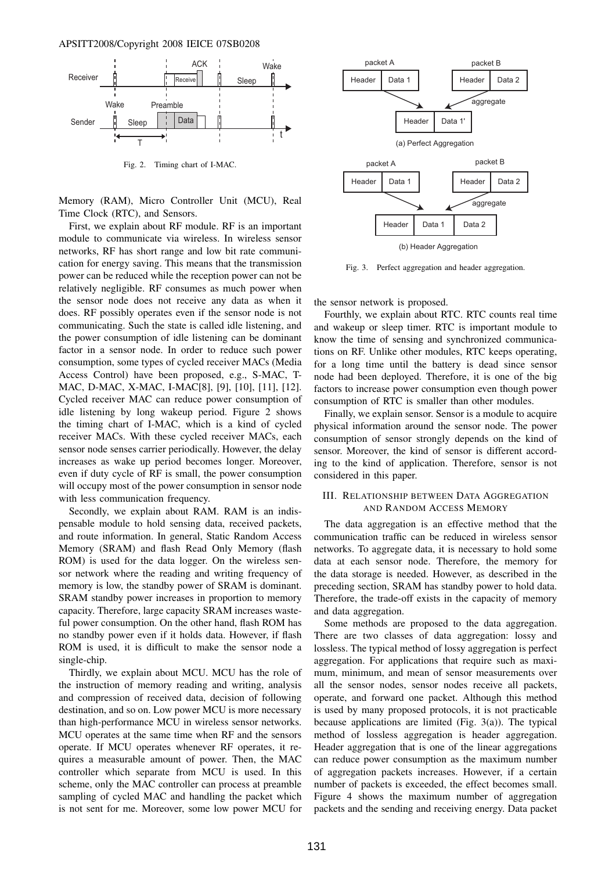## APSITT2008/Copyright 2008 IEICE 07SB0208



Fig. 2. Timing chart of I-MAC.

Memory (RAM), Micro Controller Unit (MCU), Real Time Clock (RTC), and Sensors.

First, we explain about RF module. RF is an important module to communicate via wireless. In wireless sensor networks, RF has short range and low bit rate communication for energy saving. This means that the transmission power can be reduced while the reception power can not be relatively negligible. RF consumes as much power when the sensor node does not receive any data as when it does. RF possibly operates even if the sensor node is not communicating. Such the state is called idle listening, and the power consumption of idle listening can be dominant factor in a sensor node. In order to reduce such power consumption, some types of cycled receiver MACs (Media Access Control) have been proposed, e.g., S-MAC, T-MAC, D-MAC, X-MAC, I-MAC[8], [9], [10], [11], [12]. Cycled receiver MAC can reduce power consumption of idle listening by long wakeup period. Figure 2 shows the timing chart of I-MAC, which is a kind of cycled receiver MACs. With these cycled receiver MACs, each sensor node senses carrier periodically. However, the delay increases as wake up period becomes longer. Moreover, even if duty cycle of RF is small, the power consumption will occupy most of the power consumption in sensor node with less communication frequency.

Secondly, we explain about RAM. RAM is an indispensable module to hold sensing data, received packets, and route information. In general, Static Random Access Memory (SRAM) and flash Read Only Memory (flash ROM) is used for the data logger. On the wireless sensor network where the reading and writing frequency of memory is low, the standby power of SRAM is dominant. SRAM standby power increases in proportion to memory capacity. Therefore, large capacity SRAM increases wasteful power consumption. On the other hand, flash ROM has no standby power even if it holds data. However, if flash ROM is used, it is difficult to make the sensor node a single-chip.

Thirdly, we explain about MCU. MCU has the role of the instruction of memory reading and writing, analysis and compression of received data, decision of following destination, and so on. Low power MCU is more necessary than high-performance MCU in wireless sensor networks. MCU operates at the same time when RF and the sensors operate. If MCU operates whenever RF operates, it requires a measurable amount of power. Then, the MAC controller which separate from MCU is used. In this scheme, only the MAC controller can process at preamble sampling of cycled MAC and handling the packet which is not sent for me. Moreover, some low power MCU for



Fig. 3. Perfect aggregation and header aggregation.

the sensor network is proposed.

Fourthly, we explain about RTC. RTC counts real time and wakeup or sleep timer. RTC is important module to know the time of sensing and synchronized communications on RF. Unlike other modules, RTC keeps operating, for a long time until the battery is dead since sensor node had been deployed. Therefore, it is one of the big factors to increase power consumption even though power consumption of RTC is smaller than other modules.

Finally, we explain sensor. Sensor is a module to acquire physical information around the sensor node. The power consumption of sensor strongly depends on the kind of sensor. Moreover, the kind of sensor is different according to the kind of application. Therefore, sensor is not considered in this paper.

# III. RELATIONSHIP BETWEEN DATA AGGREGATION AND RANDOM ACCESS MEMORY

The data aggregation is an effective method that the communication traffic can be reduced in wireless sensor networks. To aggregate data, it is necessary to hold some data at each sensor node. Therefore, the memory for the data storage is needed. However, as described in the preceding section, SRAM has standby power to hold data. Therefore, the trade-off exists in the capacity of memory and data aggregation.

Some methods are proposed to the data aggregation. There are two classes of data aggregation: lossy and lossless. The typical method of lossy aggregation is perfect aggregation. For applications that require such as maximum, minimum, and mean of sensor measurements over all the sensor nodes, sensor nodes receive all packets, operate, and forward one packet. Although this method is used by many proposed protocols, it is not practicable because applications are limited (Fig. 3(a)). The typical method of lossless aggregation is header aggregation. Header aggregation that is one of the linear aggregations can reduce power consumption as the maximum number of aggregation packets increases. However, if a certain number of packets is exceeded, the effect becomes small. Figure 4 shows the maximum number of aggregation packets and the sending and receiving energy. Data packet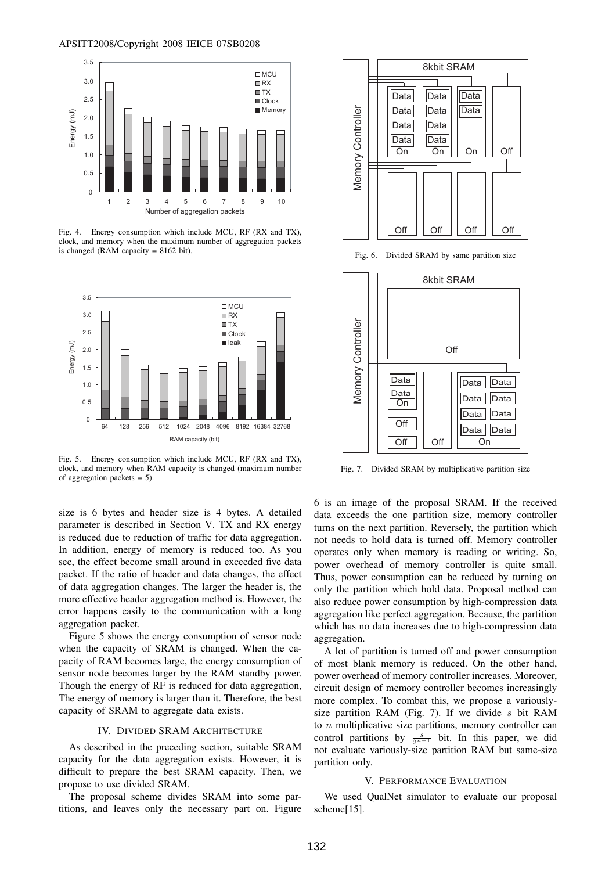# APSITT2008/Copyright 2008 IEICE 07SB0208



Fig. 4. Energy consumption which include MCU, RF (RX and TX), clock, and memory when the maximum number of aggregation packets is changed (RAM capacity = 8162 bit).



Fig. 5. Energy consumption which include MCU, RF (RX and TX), clock, and memory when RAM capacity is changed (maximum number of aggregation packets = 5).

size is 6 bytes and header size is 4 bytes. A detailed parameter is described in Section V. TX and RX energy is reduced due to reduction of traffic for data aggregation. In addition, energy of memory is reduced too. As you see, the effect become small around in exceeded five data packet. If the ratio of header and data changes, the effect of data aggregation changes. The larger the header is, the more effective header aggregation method is. However, the error happens easily to the communication with a long aggregation packet.

Figure 5 shows the energy consumption of sensor node when the capacity of SRAM is changed. When the capacity of RAM becomes large, the energy consumption of sensor node becomes larger by the RAM standby power. Though the energy of RF is reduced for data aggregation, The energy of memory is larger than it. Therefore, the best capacity of SRAM to aggregate data exists.

# IV. DIVIDED SRAM ARCHITECTURE

As described in the preceding section, suitable SRAM capacity for the data aggregation exists. However, it is difficult to prepare the best SRAM capacity. Then, we propose to use divided SRAM.

The proposal scheme divides SRAM into some partitions, and leaves only the necessary part on. Figure



Fig. 6. Divided SRAM by same partition size



Fig. 7. Divided SRAM by multiplicative partition size

6 is an image of the proposal SRAM. If the received data exceeds the one partition size, memory controller turns on the next partition. Reversely, the partition which not needs to hold data is turned off. Memory controller operates only when memory is reading or writing. So, power overhead of memory controller is quite small. Thus, power consumption can be reduced by turning on only the partition which hold data. Proposal method can also reduce power consumption by high-compression data aggregation like perfect aggregation. Because, the partition which has no data increases due to high-compression data aggregation.

A lot of partition is turned off and power consumption of most blank memory is reduced. On the other hand, power overhead of memory controller increases. Moreover, circuit design of memory controller becomes increasingly more complex. To combat this, we propose a variouslysize partition RAM (Fig. 7). If we divide *s* bit RAM to *n* multiplicative size partitions, memory controller can control partitions by  $\frac{s}{2^{n-1}}$  bit. In this paper, we did not evaluate variously-size partition RAM but same-size partition only.

## V. PERFORMANCE EVALUATION

We used QualNet simulator to evaluate our proposal scheme[15].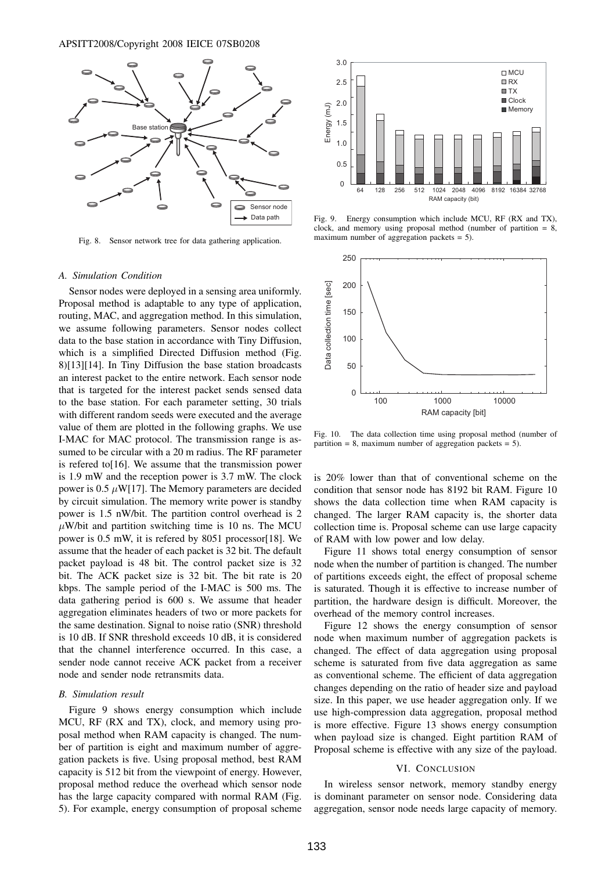

Fig. 8. Sensor network tree for data gathering application.

## *A. Simulation Condition*

Sensor nodes were deployed in a sensing area uniformly. Proposal method is adaptable to any type of application, routing, MAC, and aggregation method. In this simulation, we assume following parameters. Sensor nodes collect data to the base station in accordance with Tiny Diffusion, which is a simplified Directed Diffusion method (Fig. 8)[13][14]. In Tiny Diffusion the base station broadcasts an interest packet to the entire network. Each sensor node that is targeted for the interest packet sends sensed data to the base station. For each parameter setting, 30 trials with different random seeds were executed and the average value of them are plotted in the following graphs. We use I-MAC for MAC protocol. The transmission range is assumed to be circular with a 20 m radius. The RF parameter is refered to[16]. We assume that the transmission power is 1.9 mW and the reception power is 3.7 mW. The clock power is  $0.5 \mu W[17]$ . The Memory parameters are decided by circuit simulation. The memory write power is standby power is 1.5 nW/bit. The partition control overhead is 2  $\mu$ W/bit and partition switching time is 10 ns. The MCU power is 0.5 mW, it is refered by 8051 processor[18]. We assume that the header of each packet is 32 bit. The default packet payload is 48 bit. The control packet size is 32 bit. The ACK packet size is 32 bit. The bit rate is 20 kbps. The sample period of the I-MAC is 500 ms. The data gathering period is 600 s. We assume that header aggregation eliminates headers of two or more packets for the same destination. Signal to noise ratio (SNR) threshold is 10 dB. If SNR threshold exceeds 10 dB, it is considered that the channel interference occurred. In this case, a sender node cannot receive ACK packet from a receiver node and sender node retransmits data.

## *B. Simulation result*

Figure 9 shows energy consumption which include MCU, RF (RX and TX), clock, and memory using proposal method when RAM capacity is changed. The number of partition is eight and maximum number of aggregation packets is five. Using proposal method, best RAM capacity is 512 bit from the viewpoint of energy. However, proposal method reduce the overhead which sensor node has the large capacity compared with normal RAM (Fig. 5). For example, energy consumption of proposal scheme



Fig. 9. Energy consumption which include MCU, RF (RX and TX), clock, and memory using proposal method (number of partition = 8, maximum number of aggregation packets = 5).



Fig. 10. The data collection time using proposal method (number of partition  $= 8$ , maximum number of aggregation packets  $= 5$ ).

is 20% lower than that of conventional scheme on the condition that sensor node has 8192 bit RAM. Figure 10 shows the data collection time when RAM capacity is changed. The larger RAM capacity is, the shorter data collection time is. Proposal scheme can use large capacity of RAM with low power and low delay.

Figure 11 shows total energy consumption of sensor node when the number of partition is changed. The number of partitions exceeds eight, the effect of proposal scheme is saturated. Though it is effective to increase number of partition, the hardware design is difficult. Moreover, the overhead of the memory control increases.

Figure 12 shows the energy consumption of sensor node when maximum number of aggregation packets is changed. The effect of data aggregation using proposal scheme is saturated from five data aggregation as same as conventional scheme. The efficient of data aggregation changes depending on the ratio of header size and payload size. In this paper, we use header aggregation only. If we use high-compression data aggregation, proposal method is more effective. Figure 13 shows energy consumption when payload size is changed. Eight partition RAM of Proposal scheme is effective with any size of the payload.

## VI. CONCLUSION

In wireless sensor network, memory standby energy is dominant parameter on sensor node. Considering data aggregation, sensor node needs large capacity of memory.